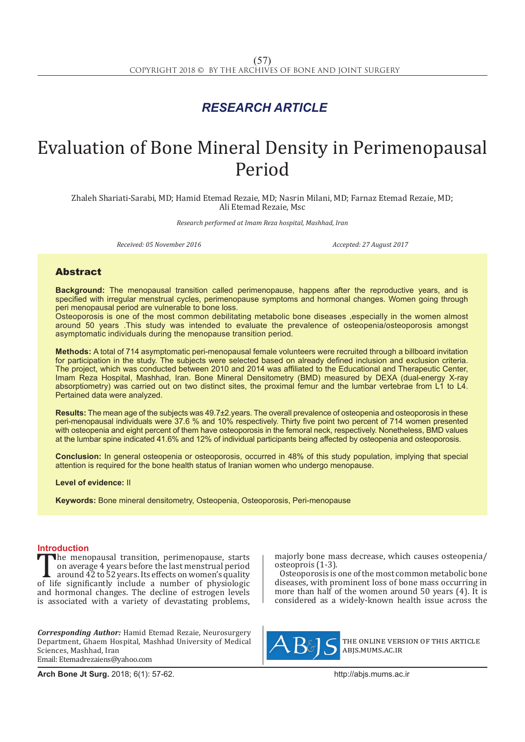## *RESEARCH ARTICLE*

# Evaluation of Bone Mineral Density in Perimenopausal Period

Zhaleh Shariati-Sarabi, MD; Hamid Etemad Rezaie, MD; Nasrin Milani, MD; Farnaz Etemad Rezaie, MD; Ali Etemad Rezaie, Msc

*Research performed at Imam Reza hospital, Mashhad, Iran*

*Received: 05 November 2016 Accepted: 27 August 2017*

### Abstract

**Background:** The menopausal transition called perimenopause, happens after the reproductive years, and is specified with irregular menstrual cycles, perimenopause symptoms and hormonal changes. Women going through peri menopausal period are vulnerable to bone loss.

Osteoporosis is one of the most common debilitating metabolic bone diseases ,especially in the women almost around 50 years .This study was intended to evaluate the prevalence of osteopenia/osteoporosis amongst asymptomatic individuals during the menopause transition period.

**Methods:** A total of 714 asymptomatic peri-menopausal female volunteers were recruited through a billboard invitation for participation in the study. The subjects were selected based on already defined inclusion and exclusion criteria. The project, which was conducted between 2010 and 2014 was affiliated to the Educational and Therapeutic Center, Imam Reza Hospital, Mashhad, Iran. Bone Mineral Densitometry (BMD) measured by DEXA (dual-energy X-ray absorptiometry) was carried out on two distinct sites, the proximal femur and the lumbar vertebrae from L1 to L4. Pertained data were analyzed.

**Results:** The mean age of the subjects was 49.7±2.years. The overall prevalence of osteopenia and osteoporosis in these peri-menopausal individuals were 37.6 % and 10% respectively. Thirty five point two percent of 714 women presented with osteopenia and eight percent of them have osteoporosis in the femoral neck, respectively. Nonetheless, BMD values at the lumbar spine indicated 41.6% and 12% of individual participants being affected by osteopenia and osteoporosis.

**Conclusion:** In general osteopenia or osteoporosis, occurred in 48% of this study population, implying that special attention is required for the bone health status of Iranian women who undergo menopause.

**Level of evidence:** II

**Keywords:** Bone mineral densitometry, Osteopenia, Osteoporosis, Peri-menopause

**Introduction**<br>The menopausal transition, perimenopause, starts The menopausal transition, perimenopause, starts<br>
on average 4 years before the last menstrual period<br>
of life significantly include a number of physiologic<br>
and hormonal changes. The decline of estrogen levels on average 4 years before the last menstrual period around 42 to 52 years. Its effects on women's quality and hormonal changes. The decline of estrogen levels is associated with a variety of devastating problems,

*Corresponding Author:* Hamid Etemad Rezaie, Neurosurgery Department, Ghaem Hospital, Mashhad University of Medical Sciences, Mashhad, Iran Email: Etemadrezaiens@yahoo.com

majorly bone mass decrease, which causes osteopenia/ osteoprois (1-3).

Osteoporosis is one of the most common metabolic bone diseases, with prominent loss of bone mass occurring in more than half of the women around 50 years (4). It is considered as a widely-known health issue across the



the online version of this article abjs.mums.ac.ir

**Arch Bone Jt Surg.** 2018; 6(1): 57-62.http://abjs.mums.ac.ir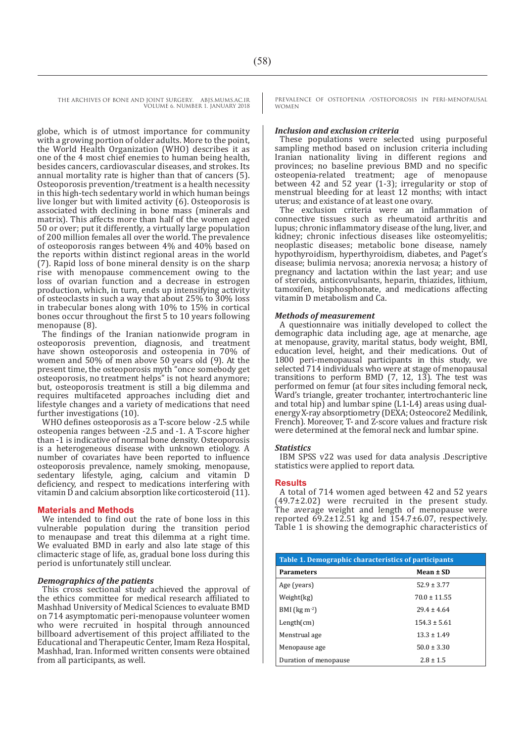THE ARCHIVES OF BONE AND JOINT SURGERY. ABJS.MUMS.AC.IR VOLUME 6. NUMBER 1. JANUARY 2018

globe, which is of utmost importance for community with a growing portion of older adults. More to the point, the World Health Organization (WHO) describes it as one of the 4 most chief enemies to human being health, besides cancers, cardiovascular diseases, and strokes. Its annual mortality rate is higher than that of cancers (5). Osteoporosis prevention/treatment is a health necessity in this high-tech sedentary world in which human beings live longer but with limited activity (6). Osteoporosis is associated with declining in bone mass (minerals and matrix). This affects more than half of the women aged 50 or over; put it differently, a virtually large population of 200 million females all over the world. The prevalence of osteoporosis ranges between 4% and 40% based on the reports within distinct regional areas in the world (7). Rapid loss of bone mineral density is on the sharp rise with menopause commencement owing to the loss of ovarian function and a decrease in estrogen production, which, in turn, ends up intensifying activity of osteoclasts in such a way that about 25% to 30% loss in trabecular bones along with 10% to 15% in cortical bones occur throughout the first 5 to 10 years following menopause (8).

The findings of the Iranian nationwide program in osteoporosis prevention, diagnosis, and treatment have shown osteoporosis and osteopenia in 70% of women and 50% of men above 50 years old (9). At the present time, the osteoporosis myth "once somebody get osteoporosis, no treatment helps" is not heard anymore; but, osteoporosis treatment is still a big dilemma and requires multifaceted approaches including diet and lifestyle changes and a variety of medications that need further investigations (10).

WHO defines osteoporosis as a T-score below -2.5 while osteopenia ranges between -2.5 and -1. A T-score higher than -1 is indicative of normal bone density. Osteoporosis is a heterogeneous disease with unknown etiology. A number of covariates have been reported to influence osteoporosis prevalence, namely smoking, menopause, sedentary lifestyle, aging, calcium and vitamin D deficiency, and respect to medications interfering with vitamin D and calcium absorption like corticosteroid (11).

#### **Materials and Methods**

We intended to find out the rate of bone loss in this vulnerable population during the transition period to menaupase and treat this dilemma at a right time. We evaluated BMD in early and also late stage of this climacteric stage of life, as, gradual bone loss during this period is unfortunately still unclear.

#### *Demographics of the patients*

This cross sectional study achieved the approval of the ethics committee for medical research affiliated to Mashhad University of Medical Sciences to evaluate BMD on 714 asymptomatic peri-menopause volunteer women who were recruited in hospital through announced billboard advertisement of this project affiliated to the Educational and Therapeutic Center, Imam Reza Hospital, Mashhad, Iran. Informed written consents were obtained from all participants, as well.

PREVALENCE OF OSTEOPENIA /OSTEOPOROSIS IN PERI-MENOPAUSAL WOMEN

#### *Inclusion and exclusion criteria*

These populations were selected using purposeful sampling method based on inclusion criteria including Iranian nationality living in different regions and provinces; no baseline previous BMD and no specific osteopenia-related treatment; age of menopause between 42 and 52 year (1-3); irregularity or stop of menstrual bleeding for at least 12 months; with intact uterus; and existance of at least one ovary.

The exclusion criteria were an inflammation of connective tissues such as rheumatoid arthritis and lupus; chronic inflammatory disease of the lung, liver, and kidney; chronic infectious diseases like osteomyelitis; neoplastic diseases; metabolic bone disease, namely hypothyroidism, hyperthyroidism, diabetes, and Paget's disease; bulimia nervosa; anorexia nervosa; a history of pregnancy and lactation within the last year; and use of steroids, anticonvulsants, heparin, thiazides, lithium, tamoxifen, bisphosphonate, and medications affecting vitamin D metabolism and Ca.

#### *Methods of measurement*

A questionnaire was initially developed to collect the demographic data including age, age at menarche, age at menopause, gravity, marital status, body weight, BMI, education level, height, and their medications. Out of 1800 peri-menopausal participants in this study, we selected 714 individuals who were at stage of menopausal transitions to perform BMD (7, 12, 13). The test was performed on femur (at four sites including femoral neck, Ward's triangle, greater trochanter, intertrochanteric line and total hip) and lumbar spine (L1-L4) areas using dualenergy X-ray absorptiometry (DEXA; Osteocore2 Medilink, French). Moreover, T- and Z-score values and fracture risk were determined at the femoral neck and lumbar spine.

#### *Statistics*

IBM SPSS v22 was used for data analysis .Descriptive statistics were applied to report data.

#### **Results**

A total of 714 women aged between 42 and 52 years (49.7±2.02) were recruited in the present study. The average weight and length of menopause were reported  $69.2 \pm 12.51$  kg and  $154.7 \pm 6.07$ , respectively. Table 1 is showing the demographic characteristics of

| Table 1. Demographic characteristics of participants |                  |  |  |  |
|------------------------------------------------------|------------------|--|--|--|
| <b>Parameters</b>                                    | Mean $\pm$ SD    |  |  |  |
| Age (years)                                          | $52.9 \pm 3.77$  |  |  |  |
| Weight(kg)                                           | $70.0 + 11.55$   |  |  |  |
| BMI ( $\text{kg m}^2$ )                              | $29.4 + 4.64$    |  |  |  |
| Length(cm)                                           | $154.3 \pm 5.61$ |  |  |  |
| Menstrual age                                        | $13.3 \pm 1.49$  |  |  |  |
| Menopause age                                        | $50.0 \pm 3.30$  |  |  |  |
| Duration of menopause                                | $2.8 \pm 1.5$    |  |  |  |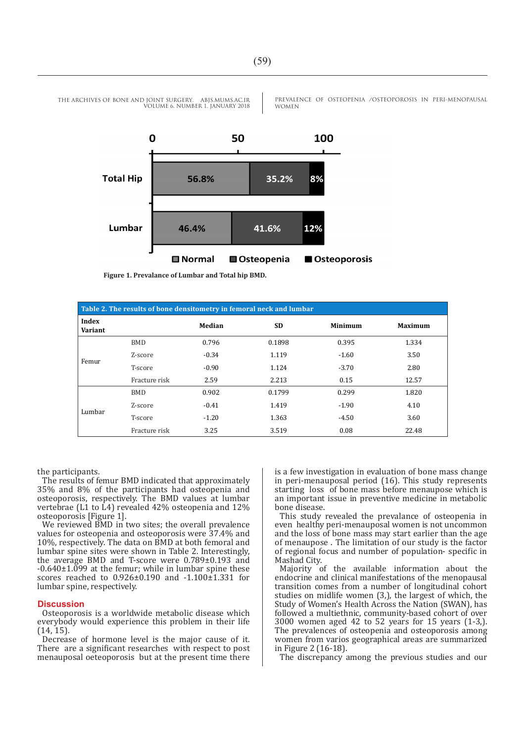

PREVALENCE OF OSTEOPENIA /OSTEOPOROSIS IN PERI-MENOPAUSAL WOMEN



**Figure 1. Prevalance of Lumbar and Total hip BMD.**

| Table 2. The results of bone densitometry in femoral neck and lumbar |               |         |           |                |                |  |
|----------------------------------------------------------------------|---------------|---------|-----------|----------------|----------------|--|
| Index<br>Variant                                                     |               | Median  | <b>SD</b> | <b>Minimum</b> | <b>Maximum</b> |  |
| Femur                                                                | <b>BMD</b>    | 0.796   | 0.1898    | 0.395          | 1.334          |  |
|                                                                      | Z-score       | $-0.34$ | 1.119     | $-1.60$        | 3.50           |  |
|                                                                      | T-score       | $-0.90$ | 1.124     | $-3.70$        | 2.80           |  |
|                                                                      | Fracture risk | 2.59    | 2.213     | 0.15           | 12.57          |  |
| Lumbar                                                               | <b>BMD</b>    | 0.902   | 0.1799    | 0.299          | 1.820          |  |
|                                                                      | Z-score       | $-0.41$ | 1.419     | $-1.90$        | 4.10           |  |
|                                                                      | T-score       | $-1.20$ | 1.363     | $-4.50$        | 3.60           |  |
|                                                                      | Fracture risk | 3.25    | 3.519     | 0.08           | 22.48          |  |

the participants.

The results of femur BMD indicated that approximately 35% and 8% of the participants had osteopenia and osteoporosis, respectively. The BMD values at lumbar vertebrae (L1 to L4) revealed 42% osteopenia and 12% osteoporosis [Figure 1].

We reviewed BMD in two sites; the overall prevalence values for osteopenia and osteoporosis were 37.4% and 10%, respectively. The data on BMD at both femoral and lumbar spine sites were shown in Table 2. Interestingly, the average BMD and T-score were 0.789±0.193 and  $-0.640\pm1.099$  at the femur; while in lumbar spine these scores reached to 0.926±0.190 and -1.100±1.331 for lumbar spine, respectively.

#### **Discussion**

Osteoporosis is a worldwide metabolic disease which everybody would experience this problem in their life (14, 15).

Decrease of hormone level is the major cause of it. There are a significant researches with respect to post menauposal oeteoporosis but at the present time there is a few investigation in evaluation of bone mass change in peri-menauposal period (16). This study represents starting loss of bone mass before menaupose which is an important issue in preventive medicine in metabolic bone disease.

This study revealed the prevalance of osteopenia in even healthy peri-menauposal women is not uncommon and the loss of bone mass may start earlier than the age of menaupose . The limitation of our study is the factor of regional focus and number of population- specific in Mashad City.

Majority of the available information about the endocrine and clinical manifestations of the menopausal transition comes from a number of longitudinal cohort studies on midlife women (3,), the largest of which, the Study of Women's Health Across the Nation (SWAN), has followed a multiethnic, community-based cohort of over 3000 women aged 42 to 52 years for 15 years (1-3,). The prevalences of osteopenia and osteoporosis among women from varios geographical areas are summarized in Figure 2 (16-18).

The discrepancy among the previous studies and our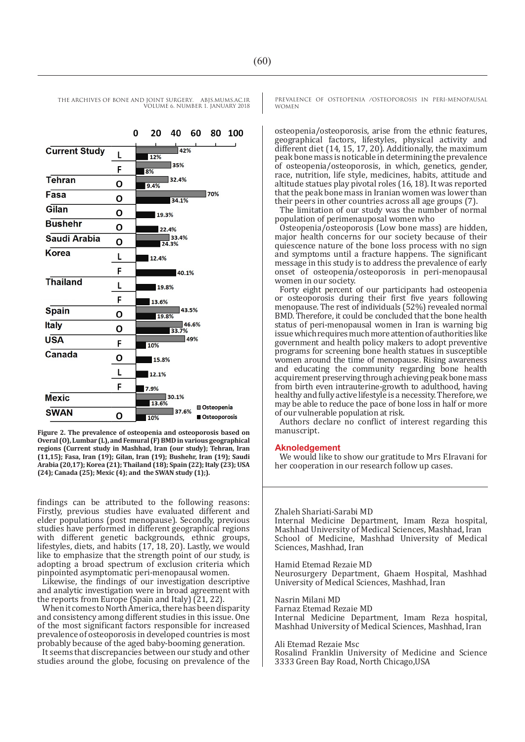THE ARCHIVES OF BONE AND JOINT SURGERY. ABJS.MUMS.AC.IR VOLUME 6. NUMBER 1. JANUARY 2018 20 40 60 80 100 42% 12%

**Tehran** 32.4%  $\Omega$  $9.4%$ 170%  $F<sub>asa</sub>$ O 34.1% Gilan O 19.3% **Bushehr** O 22.4% Saudi Arabia 33.4% O  $24.3%$ Korea L 12.4% F  $-40.1%$ **Thailand** L 19.8% F 13.6% **Spain** 43.5% O 19.8% Italy 46.6% O 33.7% **USA** 49% F  $10%$ Canada O 15.8% L  $12.1%$ F 7.9% **Mexic**  $\blacksquare$  30.1% 13.6% Osteopenia **SWAN** 37.6% O 10% Osteoporosis

**Figure 2. The prevalence of osteopenia and osteoporosis based on Overal (O), Lumbar (L), and Femural (F) BMD in various geographical regions (Current study in Mashhad, Iran (our study); Tehran, Iran (11,15); Fasa, Iran (19); Gilan, Iran (19); Bushehr, Iran (19); Saudi Arabia (20,17); Korea (21); Thailand (18); Spain (22); Italy (23); USA (24); Canada (25); Mexic (4); and the SWAN study (1);).**

findings can be attributed to the following reasons: Firstly, previous studies have evaluated different and elder populations (post menopause). Secondly, previous studies have performed in different geographical regions with different genetic backgrounds, ethnic groups, lifestyles, diets, and habits (17, 18, 20). Lastly, we would like to emphasize that the strength point of our study, is adopting a broad spectrum of exclusion criteria which pinpointed asymptomatic peri-menopausal women.

Likewise, the findings of our investigation descriptive and analytic investigation were in broad agreement with the reports from Europe (Spain and Italy) (21, 22).

When it comes to North America, there has been disparity and consistency among different studies in this issue. One of the most significant factors responsible for increased prevalence of osteoporosis in developed countries is most probably because of the aged baby-booming generation.

It seems that discrepancies between our study and other studies around the globe, focusing on prevalence of the PREVALENCE OF OSTEOPENIA /OSTEOPOROSIS IN PERI-MENOPAUSAL WOMEN

osteopenia/osteoporosis, arise from the ethnic features, geographical factors, lifestyles, physical activity and different diet (14, 15, 17, 20). Additionally, the maximum peak bone mass is noticable in determining the prevalence of osteopenia/osteoporosis, in which, genetics, gender, race, nutrition, life style, medicines, habits, attitude and altitude statues play pivotal roles (16, 18). It was reported that the peak bone mass in Iranian women was lower than their peers in other countries across all age groups (7).

The limitation of our study was the number of normal population of perimenauposal women who

Osteopenia/osteoporosis (Low bone mass) are hidden, major health concerns for our society because of their quiescence nature of the bone loss process with no sign and symptoms until a fracture happens. The significant message in this study is to address the prevalence of early onset of osteopenia/osteoporosis in peri-menopausal women in our society.

Forty eight percent of our participants had osteopenia or osteoporosis during their first five years following menopause. The rest of individuals (52%) revealed normal BMD. Therefore, it could be concluded that the bone health status of peri-menopausal women in Iran is warning big issue which requires much more attention of authorities like government and health policy makers to adopt preventive programs for screening bone health statues in susceptible women around the time of menopause. Rising awareness and educating the community regarding bone health acquirement preserving through achieving peak bone mass from birth even intrauterine-growth to adulthood, having healthy and fully active lifestyle is a necessity. Therefore, we may be able to reduce the pace of bone loss in half or more of our vulnerable population at risk.

Authors declare no conflict of interest regarding this manuscript.

#### **Aknoledgement**

We would like to show our gratitude to Mrs F.Iravani for her cooperation in our research follow up cases.

Zhaleh Shariati-Sarabi MD

Internal Medicine Department, Imam Reza hospital, Mashhad University of Medical Sciences, Mashhad, Iran School of Medicine, Mashhad University of Medical Sciences, Mashhad, Iran

Hamid Etemad Rezaie MD Neurosurgery Department, Ghaem Hospital, Mashhad University of Medical Sciences, Mashhad, Iran

Nasrin Milani MD Farnaz Etemad Rezaie MD Internal Medicine Department, Imam Reza hospital, Mashhad University of Medical Sciences, Mashhad, Iran

Ali Etemad Rezaie Msc

Rosalind Franklin University of Medicine and Science 3333 Green Bay Road, North Chicago,USA



 $\Omega$ 

**Current Study**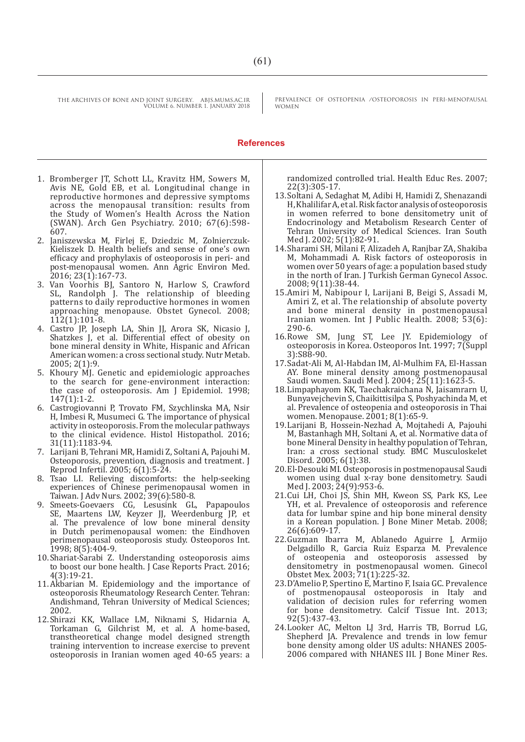THE ARCHIVES OF BONE AND JOINT SURGERY. ABJS.MUMS.AC.IR

VOLUME 6. NUMBER 1. JANUARY 2018

PREVALENCE OF OSTEOPENIA /OSTEOPOROSIS IN PERI-MENOPAUSAL WOMEN

#### **References**

- 1. Bromberger JT, Schott LL, Kravitz HM, Sowers M, Avis NE, Gold EB, et al. Longitudinal change in reproductive hormones and depressive symptoms across the menopausal transition: results from the Study of Women's Health Across the Nation (SWAN). Arch Gen Psychiatry. 2010; 67(6):598- 607.
- 2. Janiszewska M, Firlej E, Dziedzic M, Zolnierczuk-Kieliszek D. Health beliefs and sense of one's own efficacy and prophylaxis of osteoporosis in peri- and post-menopausal women. Ann Agric Environ Med. 2016; 23(1):167-73.
- 3. Van Voorhis BJ, Santoro N, Harlow S, Crawford SL, Randolph J. The relationship of bleeding patterns to daily reproductive hormones in women approaching menopause. Obstet Gynecol. 2008; 112(1):101-8.
- 4. Castro JP, Joseph LA, Shin JJ, Arora SK, Nicasio J, Shatzkes J, et al. Differential effect of obesity on bone mineral density in White, Hispanic and African American women: a cross sectional study. Nutr Metab. 2005; 2(1):9.
- 5. Khoury MJ. Genetic and epidemiologic approaches to the search for gene-environment interaction: the case of osteoporosis. Am J Epidemiol. 1998; 147(1):1-2.
- 6. Castrogiovanni P, Trovato FM, Szychlinska MA, Nsir H, Imbesi R, Musumeci G. The importance of physical activity in osteoporosis. From the molecular pathways to the clinical evidence. Histol Histopathol. 2016; 31(11):1183-94.
- 7. Larijani B, Tehrani MR, Hamidi Z, Soltani A, Pajouhi M. Osteoporosis, prevention, diagnosis and treatment. J Reprod Infertil. 2005; 6(1):5-24.
- 8. Tsao LI. Relieving discomforts: the help-seeking experiences of Chinese perimenopausal women in Taiwan. J Adv Nurs. 2002; 39(6):580-8.
- 9. Smeets-Goevaers CG, Lesusink GL, Papapoulos SE, Maartens LW, Keyzer JJ, Weerdenburg JP, et al. The prevalence of low bone mineral density in Dutch perimenopausal women: the Eindhoven perimenopausal osteoporosis study. Osteoporos Int. 1998; 8(5):404-9.
- 10.Shariat-Sarabi Z. Understanding osteoporosis aims to boost our bone health. J Case Reports Pract. 2016; 4(3):19-21.
- 11.Akbarian M. Epidemiology and the importance of osteoporosis Rheumatology Research Center. Tehran: Andishmand, Tehran University of Medical Sciences; 2002.
- 12.Shirazi KK, Wallace LM, Niknami S, Hidarnia A, Torkaman G, Gilchrist M, et al. A home-based, transtheoretical change model designed strength training intervention to increase exercise to prevent osteoporosis in Iranian women aged 40-65 years: a

randomized controlled trial. Health Educ Res. 2007; 22(3):305-17.

- 13.Soltani A, Sedaghat M, Adibi H, Hamidi Z, Shenazandi H, Khalilifar A, et al. Risk factor analysis of osteoporosis in women referred to bone densitometry unit of Endocrinology and Metabolism Research Center of Tehran University of Medical Sciences. Iran South Med I. 2002: 5(1):82-91.
- 14.Sharami SH, Milani F, Alizadeh A, Ranjbar ZA, Shakiba M, Mohammadi A. Risk factors of osteoporosis in women over 50 years of age: a population based study in the north of Iran. J Turkish German Gynecol Assoc. 2008; 9(11):38-44.
- 15.Amiri M, Nabipour I, Larijani B, Beigi S, Assadi M, Amiri Z, et al. The relationship of absolute poverty and bone mineral density in postmenopausal Iranian women. Int J Public Health. 2008; 53(6): 290-6.
- 16.Rowe SM, Jung ST, Lee JY. Epidemiology of osteoporosis in Korea. Osteoporos Int. 1997; 7(Suppl 3):S88-90.
- 17.Sadat-Ali M, Al-Habdan IM, Al-Mulhim FA, El-Hassan AY. Bone mineral density among postmenopausal Saudi women. Saudi Med J. 2004; 25(11):1623-5.
- 18.Limpaphayom KK, Taechakraichana N, Jaisamrarn U, Bunyavejchevin S, Chaikittisilpa S, Poshyachinda M, et al. Prevalence of osteopenia and osteoporosis in Thai women. Menopause. 2001; 8(1):65-9.
- 19.Larijani B, Hossein-Nezhad A, Mojtahedi A, Pajouhi M, Bastanhagh MH, Soltani A, et al. Normative data of bone Mineral Density in healthy population of Tehran, Iran: a cross sectional study. BMC Musculoskelet Disord. 2005; 6(1):38.
- 20.El-Desouki MI. Osteoporosis in postmenopausal Saudi women using dual x-ray bone densitometry. Saudi Med J. 2003; 24(9):953-6.
- 21.Cui LH, Choi JS, Shin MH, Kweon SS, Park KS, Lee YH, et al. Prevalence of osteoporosis and reference data for lumbar spine and hip bone mineral density in a Korean population. J Bone Miner Metab. 2008; 26(6):609-17.
- 22.Guzman Ibarra M, Ablanedo Aguirre J, Armijo Delgadillo R, Garcia Ruiz Esparza M. Prevalence of osteopenia and osteoporosis assessed by densitometry in postmenopausal women. Ginecol Obstet Mex. 2003; 71(1):225-32.
- 23.D'Amelio P, Spertino E, Martino F, Isaia GC. Prevalence of postmenopausal osteoporosis in Italy and validation of decision rules for referring women for bone densitometry. Calcif Tissue Int. 2013; 92(5):437-43.
- 24.Looker AC, Melton LJ 3rd, Harris TB, Borrud LG, Shepherd JA. Prevalence and trends in low femur bone density among older US adults: NHANES 2005- 2006 compared with NHANES III. J Bone Miner Res.